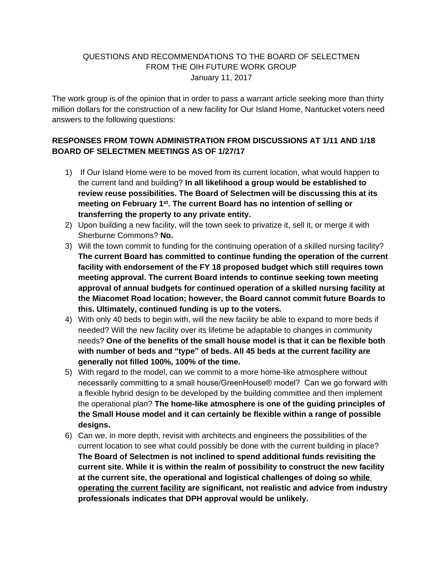## QUESTIONS AND RECOMMENDATIONS TO THE BOARD OF SELECTMEN FROM THE OIH FUTURE WORK GROUP January 11, 2017

The work group is of the opinion that in order to pass a warrant article seeking more than thirty million dollars for the construction of a new facility for Our Island Home, Nantucket voters need answers to the following questions:

## **RESPONSES FROM TOWN ADMINISTRATION FROM DISCUSSIONS AT 1/11 AND 1/18 BOARD OF SELECTMEN MEETINGS AS OF 1/27/17**

- 1) If Our Island Home were to be moved from its current location, what would happen to the current land and building? **In all likelihood a group would be established to review reuse possibilities. The Board of Selectmen will be discussing this at its meeting on February 1st. The current Board has no intention of selling or transferring the property to any private entity.**
- 2) Upon building a new facility, will the town seek to privatize it, sell it, or merge it with Sherburne Commons? **No.**
- 3) Will the town commit to funding for the continuing operation of a skilled nursing facility? **The current Board has committed to continue funding the operation of the current facility with endorsement of the FY 18 proposed budget which still requires town meeting approval. The current Board intends to continue seeking town meeting approval of annual budgets for continued operation of a skilled nursing facility at the Miacomet Road location; however, the Board cannot commit future Boards to this. Ultimately, continued funding is up to the voters.**
- 4) With only 40 beds to begin with, will the new facility be able to expand to more beds if needed? Will the new facility over its lifetime be adaptable to changes in community needs? **One of the benefits of the small house model is that it can be flexible both with number of beds and "type" of beds. All 45 beds at the current facility are generally not filled 100%, 100% of the time.**
- 5) With regard to the model, can we commit to a more home-like atmosphere without necessarily committing to a small house/GreenHouse® model? Can we go forward with a flexible hybrid design to be developed by the building committee and then implement the operational plan? **The home-like atmosphere is one of the guiding principles of the Small House model and it can certainly be flexible within a range of possible designs.**
- 6) Can we, in more depth, revisit with architects and engineers the possibilities of the current location to see what could possibly be done with the current building in place? **The Board of Selectmen is not inclined to spend additional funds revisiting the current site. While it is within the realm of possibility to construct the new facility at the current site, the operational and logistical challenges of doing so while operating the current facility are significant, not realistic and advice from industry professionals indicates that DPH approval would be unlikely.**